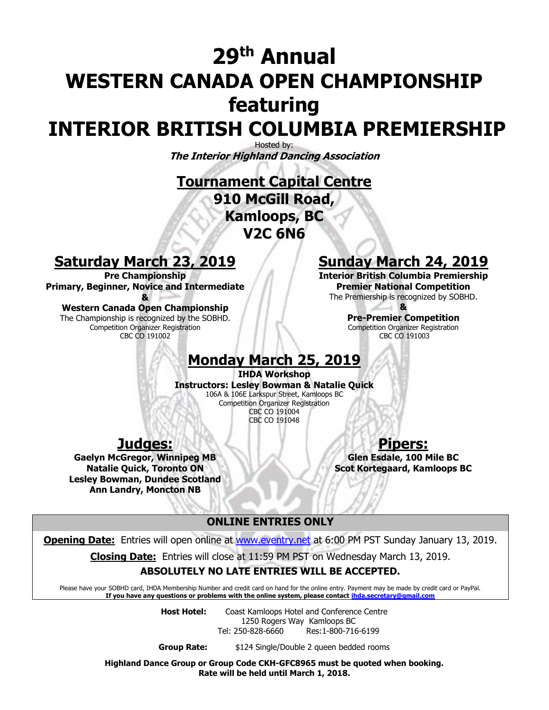## **29 th Annual WESTERN CANADA OPEN CHAMPIONSHIP featuring INTERIOR BRITISH COLUMBIA PREMIERSHIP**

Hosted by: **The Interior Highland Dancing Association**

**Tournament Capital Centre 910 McGill Road, Kamloops, BC V2C 6N6**

### **Saturday March 23, 2019**

**Pre Championship Primary, Beginner, Novice and Intermediate &**

**Western Canada Open Championship** The Championship is recognized by the SOBHD. Competition Organizer Registration CBC CO 191002

### **Sunday March 24, 2019**

**Interior British Columbia Premiership Premier National Competition** The Premiership is recognized by SOBHD.

> **& Pre-Premier Competition** Competition Organizer Registration CBC CO 191003

### **Monday March 25, 2019**

**IHDA Workshop Instructors: Lesley Bowman & Natalie Quick** 106A & 106E Larkspur Street, Kamloops BC Competition Organizer Registration CBC CO 191004 CBC CO 191048

### **Judges:**

**Gaelyn McGregor, Winnipeg MB Natalie Quick, Toronto ON Lesley Bowman, Dundee Scotland Ann Landry, Moncton NB**

**Pipers:**

**Glen Esdale, 100 Mile BC Scot Kortegaard, Kamloops BC**

#### **ONLINE ENTRIES ONLY**

**Opening Date:** Entries will open online at [www.eventry.net](http://www.eventry.net/) at 6:00 PM PST Sunday January 13, 2019.

**Closing Date:** Entries will close at 11:59 PM PST on Wednesday March 13, 2019.

#### **ABSOLUTELY NO LATE ENTRIES WILL BE ACCEPTED.**

Please have your SOBHD card, IHDA Membership Number and credit card on hand for the online entry. Payment may be made by credit card or PayPal. **If you have any questions or problems with the online system, please contact [ihda.secretary@gmail.com](mailto:ihda.secretary@gmail.com)**

**Host Hotel:** Coast Kamloops Hotel and Conference Centre 1250 Rogers Way Kamloops BC Tel: 250-828-6660 Res:1-800-716-6199

**Group Rate:** \$124 Single/Double 2 queen bedded rooms

**Highland Dance Group or Group Code CKH-GFC8965 must be quoted when booking. Rate will be held until March 1, 2018.**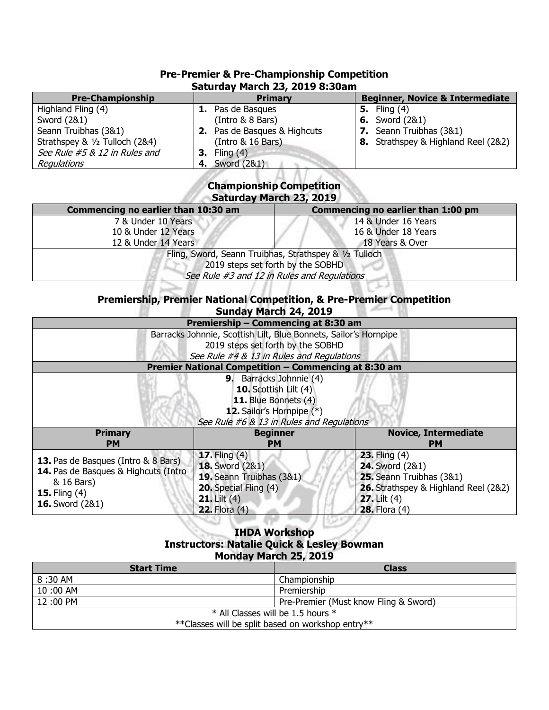| Saturday March 23, 2019 8:30am |                                     |                                            |  |  |  |  |
|--------------------------------|-------------------------------------|--------------------------------------------|--|--|--|--|
| <b>Pre-Championship</b>        | <b>Primary</b>                      | <b>Beginner, Novice &amp; Intermediate</b> |  |  |  |  |
| Highland Fling (4)             | <b>1.</b> Pas de Basques            | <b>5.</b> Fling $(4)$                      |  |  |  |  |
| Sword (2&1)                    | (Intro & 8 Bars)                    | <b>6.</b> Sword (2&1)                      |  |  |  |  |
| Seann Truibhas (3&1)           | <b>2.</b> Pas de Basques & Highcuts | <b>7.</b> Seann Truibhas (3&1)             |  |  |  |  |
| Strathspey & 1/2 Tulloch (2&4) | (Intro & 16 Bars)                   | 8. Strathspey & Highland Reel (2&2)        |  |  |  |  |
| See Rule #5 & 12 in Rules and  | <b>3.</b> Fling $(4)$               |                                            |  |  |  |  |
| Regulations                    | <b>4.</b> Sword (2&1)               |                                            |  |  |  |  |

# **Pre-Premier & Pre-Championship Competition**

#### **Championship Competition Saturday March 23, 2019**

| Commencing no earlier than 10:30 am                    | Commencing no earlier than 1:00 pm |  |  |  |
|--------------------------------------------------------|------------------------------------|--|--|--|
| 7 & Under 10 Years                                     | 14 & Under 16 Years                |  |  |  |
| 10 & Under 12 Years                                    | 16 & Under 18 Years                |  |  |  |
| 12 & Under 14 Years                                    | 18 Years & Over                    |  |  |  |
| Fling, Sword, Seann Truibhas, Strathspey & 1/2 Tulloch |                                    |  |  |  |
| 2019 steps set forth by the SOBHD                      |                                    |  |  |  |
| See Rule #3 and 12 in Rules and Regulations            |                                    |  |  |  |

#### **Premiership, Premier National Competition, & Pre-Premier Competition Sunday March 24, 2019**

| Premiership - Commencing at 8:30 am                                                                                                                       |                                                                                                                                                |                                                                                                                                                      |  |  |  |
|-----------------------------------------------------------------------------------------------------------------------------------------------------------|------------------------------------------------------------------------------------------------------------------------------------------------|------------------------------------------------------------------------------------------------------------------------------------------------------|--|--|--|
| Barracks Johnnie, Scottish Lilt, Blue Bonnets, Sailor's Hornpipe                                                                                          |                                                                                                                                                |                                                                                                                                                      |  |  |  |
| 2019 steps set forth by the SOBHD                                                                                                                         |                                                                                                                                                |                                                                                                                                                      |  |  |  |
| See Rule #4 & 13 in Rules and Regulations                                                                                                                 |                                                                                                                                                |                                                                                                                                                      |  |  |  |
| Premier National Competition - Commencing at 8:30 am                                                                                                      |                                                                                                                                                |                                                                                                                                                      |  |  |  |
| <b>9.</b> Barracks Johnnie (4)<br>10. Scottish Lilt (4)<br>11. Blue Bonnets (4)<br>12. Sailor's Hornpipe (*)<br>See Rule #6 & 13 in Rules and Regulations |                                                                                                                                                |                                                                                                                                                      |  |  |  |
| <b>Primary</b>                                                                                                                                            | <b>Beginner</b>                                                                                                                                | <b>Novice, Intermediate</b>                                                                                                                          |  |  |  |
| <b>PM</b>                                                                                                                                                 | PМ                                                                                                                                             | <b>PM</b>                                                                                                                                            |  |  |  |
| <b>13.</b> Pas de Basques (Intro & 8 Bars)<br>14. Pas de Basques & Highcuts (Intro<br>& 16 Bars)<br><b>15.</b> Fling $(4)$<br><b>16.</b> Sword (2&1)      | <b>17.</b> Fling $(4)$<br><b>18.</b> Sword (2&1)<br>19. Seann Truibhas (3&1)<br>20. Special Fling (4)<br>$21.$ Lilt $(4)$<br>$22.$ Flora $(4)$ | $23.$ Fling $(4)$<br>24. Sword (2&1)<br>25. Seann Truibhas (3&1)<br>26. Strathspey & Highland Reel (2&2)<br>$27.$ Lilt $(4)$<br><b>28.</b> Flora (4) |  |  |  |

#### **IHDA Workshop Instructors: Natalie Quick & Lesley Bowman Monday March 25, 2019**

**CORP.** 

| <b>Start Time</b>                                 | <b>Class</b>                          |  |  |
|---------------------------------------------------|---------------------------------------|--|--|
| 8:30 AM                                           | Championship                          |  |  |
| $10:00$ AM                                        | Premiership                           |  |  |
| 12:00 PM                                          | Pre-Premier (Must know Fling & Sword) |  |  |
| * All Classes will be 1.5 hours *                 |                                       |  |  |
| **Classes will be split based on workshop entry** |                                       |  |  |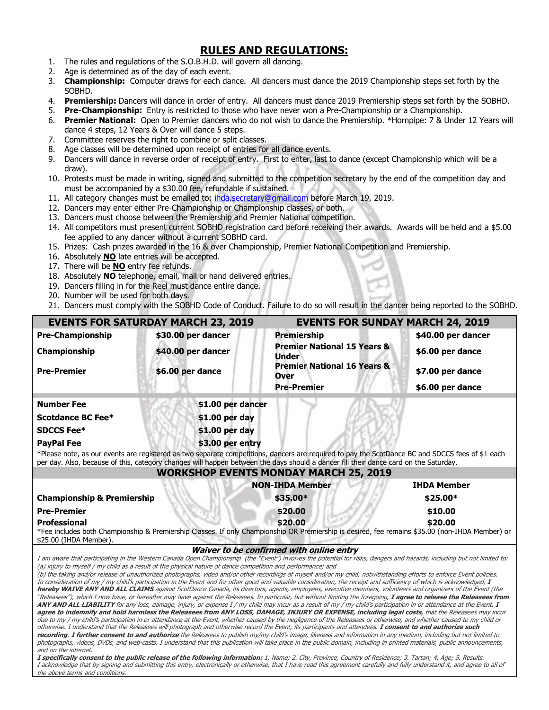#### **RULES AND REGULATIONS:**

- 1. The rules and regulations of the S.O.B.H.D. will govern all dancing.
- 2. Age is determined as of the day of each event.
- 3. **Championship:** Computer draws for each dance. All dancers must dance the 2019 Championship steps set forth by the SOBHD.
- 4. **Premiership:** Dancers will dance in order of entry. All dancers must dance 2019 Premiership steps set forth by the SOBHD.
- 5. **Pre-Championship:** Entry is restricted to those who have never won a Pre-Championship or a Championship.
- 6. **Premier National:** Open to Premier dancers who do not wish to dance the Premiership. \*Hornpipe: 7 & Under 12 Years will dance 4 steps, 12 Years & Over will dance 5 steps.
- 7. Committee reserves the right to combine or split classes.
- 8. Age classes will be determined upon receipt of entries for all dance events.
- 9. Dancers will dance in reverse order of receipt of entry. First to enter, last to dance (except Championship which will be a draw).
- 10. Protests must be made in writing, signed and submitted to the competition secretary by the end of the competition day and must be accompanied by a \$30.00 fee, refundable if sustained.
- 11. All category changes must be emailed to: [ihda.secretary@gmail.com](mailto:ihda.secretary@gmail.com) before March 19, 2019.
- 12. Dancers may enter either Pre-Championship or Championship classes, or both.
- 13. Dancers must choose between the Premiership and Premier National competition.
- 14. All competitors must present current SOBHD registration card before receiving their awards. Awards will be held and a \$5.00 fee applied to any dancer without a current SOBHD card.
- 15. Prizes: Cash prizes awarded in the 16 & over Championship, Premier National Competition and Premiership.
- 16. Absolutely **NO** late entries will be accepted.
- 17. There will be **NO** entry fee refunds.
- 18. Absolutely **NO** telephone, email, mail or hand delivered entries.
- 19. Dancers filling in for the Reel must dance entire dance.
- 20. Number will be used for both days.

the above terms and conditions.

21. Dancers must comply with the SOBHD Code of Conduct. Failure to do so will result in the dancer being reported to the SOBHD.

|                                                                                                                                                                                                                                                                                                                                     | <b>EVENTS FOR SATURDAY MARCH 23, 2019</b>                                                                    | <b>EVENTS FOR SUNDAY MARCH 24, 2019</b>                                                                                                                                                                                                                                                                                                                                                                                                                                                                                     |                    |  |  |
|-------------------------------------------------------------------------------------------------------------------------------------------------------------------------------------------------------------------------------------------------------------------------------------------------------------------------------------|--------------------------------------------------------------------------------------------------------------|-----------------------------------------------------------------------------------------------------------------------------------------------------------------------------------------------------------------------------------------------------------------------------------------------------------------------------------------------------------------------------------------------------------------------------------------------------------------------------------------------------------------------------|--------------------|--|--|
| <b>Pre-Championship</b>                                                                                                                                                                                                                                                                                                             | \$30.00 per dancer                                                                                           | <b>Premiership</b>                                                                                                                                                                                                                                                                                                                                                                                                                                                                                                          | \$40.00 per dancer |  |  |
| Championship                                                                                                                                                                                                                                                                                                                        | \$40.00 per dancer                                                                                           | <b>Premier National 15 Years &amp;</b><br><b>Under</b>                                                                                                                                                                                                                                                                                                                                                                                                                                                                      | \$6.00 per dance   |  |  |
| \$6.00 per dance<br><b>Pre-Premier</b>                                                                                                                                                                                                                                                                                              | <b>Premier National 16 Years &amp;</b><br><b>Over</b>                                                        | \$7.00 per dance                                                                                                                                                                                                                                                                                                                                                                                                                                                                                                            |                    |  |  |
|                                                                                                                                                                                                                                                                                                                                     |                                                                                                              | <b>Pre-Premier</b>                                                                                                                                                                                                                                                                                                                                                                                                                                                                                                          | \$6.00 per dance   |  |  |
| <b>Number Fee</b>                                                                                                                                                                                                                                                                                                                   | \$1.00 per dancer                                                                                            |                                                                                                                                                                                                                                                                                                                                                                                                                                                                                                                             |                    |  |  |
| <b>Scotdance BC Fee*</b>                                                                                                                                                                                                                                                                                                            | \$1.00 per day                                                                                               |                                                                                                                                                                                                                                                                                                                                                                                                                                                                                                                             |                    |  |  |
| <b>SDCCS Fee*</b>                                                                                                                                                                                                                                                                                                                   | \$1.00 per day                                                                                               |                                                                                                                                                                                                                                                                                                                                                                                                                                                                                                                             |                    |  |  |
| <b>PayPal Fee</b>                                                                                                                                                                                                                                                                                                                   | \$3.00 per entry                                                                                             |                                                                                                                                                                                                                                                                                                                                                                                                                                                                                                                             |                    |  |  |
|                                                                                                                                                                                                                                                                                                                                     |                                                                                                              | *Please note, as our events are registered as two separate competitions, dancers are required to pay the ScotDance BC and SDCCS fees of \$1 each                                                                                                                                                                                                                                                                                                                                                                            |                    |  |  |
|                                                                                                                                                                                                                                                                                                                                     |                                                                                                              | per day. Also, because of this, category changes will happen between the days should a dancer fill their dance card on the Saturday.<br><b>WORKSHOP EVENTS MONDAY MARCH 25, 2019</b>                                                                                                                                                                                                                                                                                                                                        |                    |  |  |
|                                                                                                                                                                                                                                                                                                                                     |                                                                                                              | <b>NON-IHDA Member</b>                                                                                                                                                                                                                                                                                                                                                                                                                                                                                                      | <b>IHDA Member</b> |  |  |
| <b>Championship &amp; Premiership</b>                                                                                                                                                                                                                                                                                               |                                                                                                              | \$35.00*                                                                                                                                                                                                                                                                                                                                                                                                                                                                                                                    | \$25.00*           |  |  |
| <b>Pre-Premier</b>                                                                                                                                                                                                                                                                                                                  |                                                                                                              | \$20.00                                                                                                                                                                                                                                                                                                                                                                                                                                                                                                                     | \$10.00            |  |  |
| <b>Professional</b>                                                                                                                                                                                                                                                                                                                 |                                                                                                              | \$20.00                                                                                                                                                                                                                                                                                                                                                                                                                                                                                                                     | \$20.00            |  |  |
| \$25.00 (IHDA Member).                                                                                                                                                                                                                                                                                                              |                                                                                                              | *Fee includes both Championship & Premiership Classes. If only Championship OR Premiership is desired, fee remains \$35.00 (non-IHDA Member) or                                                                                                                                                                                                                                                                                                                                                                             |                    |  |  |
|                                                                                                                                                                                                                                                                                                                                     |                                                                                                              | Waiver to be confirmed with online entry                                                                                                                                                                                                                                                                                                                                                                                                                                                                                    |                    |  |  |
|                                                                                                                                                                                                                                                                                                                                     | (a) injury to myself / my child as a result of the physical nature of dance competition and performance; and | I am aware that participating in the Western Canada Open Championship (the "Event") involves the potential for risks, dangers and hazards, including but not limited to:<br>(b) the taking and/or release of unauthorized photographs, video and/or other recordings of myself and/or my child, notwithstanding efforts to enforce Event policies.<br>In consideration of my / my child's participation in the Event and for other good and valuable consideration, the receipt and sufficiency of which is acknowledged, I |                    |  |  |
| hereby WAIVE ANY AND ALL CLAIMS against ScotDance Canada, its directors, agents, employees, executive members, volunteers and organizers of the Event (the<br>"Releasees"), which I now have, or hereafter may have against the Releasees. In particular, but without limiting the foregoing, I agree to release the Releasees from |                                                                                                              |                                                                                                                                                                                                                                                                                                                                                                                                                                                                                                                             |                    |  |  |
| ANY AND ALL LIABILITY for any loss, damage, injury, or expense I / my child may incur as a result of my / my child's participation in or attendance at the Event. I<br>agree to indemnify and hold harmless the Releasees from ANY LOSS, DAMAGE, INJURY OR EXPENSE, including legal costs, that the Releasees may incur             |                                                                                                              |                                                                                                                                                                                                                                                                                                                                                                                                                                                                                                                             |                    |  |  |
|                                                                                                                                                                                                                                                                                                                                     |                                                                                                              | due to my / my child's participation in or attendance at the Event, whether caused by the negligence of the Releasees or otherwise, and whether caused to my child or                                                                                                                                                                                                                                                                                                                                                       |                    |  |  |
|                                                                                                                                                                                                                                                                                                                                     |                                                                                                              | otherwise. I understand that the Releasees will photograph and otherwise record the Event, its participants and attendees. I consent to and authorize such<br>recording. I further consent to and authorize the Releasees to publish my/my child's image, likeness and information in any medium, including but not limited to                                                                                                                                                                                              |                    |  |  |
| and on the internet.                                                                                                                                                                                                                                                                                                                |                                                                                                              | photographs, videos, DVDs, and web-casts. I understand that this publication will take place in the public domain, including in printed materials, public announcements,                                                                                                                                                                                                                                                                                                                                                    |                    |  |  |
|                                                                                                                                                                                                                                                                                                                                     |                                                                                                              | I specifically consent to the public release of the following information: 1. Name; 2. City, Province, Country of Residence; 3. Tartan; 4. Age; 5. Results.<br>I acknowledge that by signing and submitting this entry, electronically or otherwise, that I have read this agreement carefully and fully understand it, and agree to all of                                                                                                                                                                                 |                    |  |  |